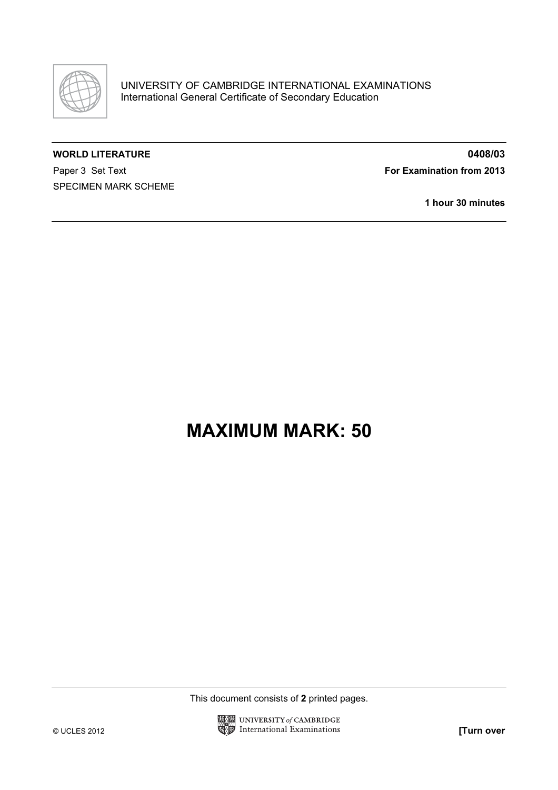

## WORLD LITERATURE **0408/03**

Paper 3 Set Text For Examination from 2013 SPECIMEN MARK SCHEME

1 hour 30 minutes

## MAXIMUM MARK: 50

This document consists of 2 printed pages.